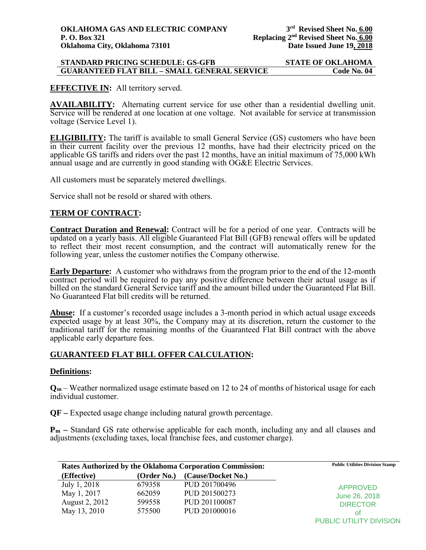#### **STANDARD PRICING SCHEDULE: GS-GFB STATE OF OKLAHOMA GUARANTEED FLAT BILL - SMALL GENERAL SERVICE**

# **EFFECTIVE IN:** All territory served.

**AVAILABILITY:** Alternating current service for use other than a residential dwelling unit. Service will be rendered at one location at one voltage. Not available for service at transmission voltage (Service Level 1).

**ELIGIBILITY:** The tariff is available to small General Service (GS) customers who have been in their current facility over the previous 12 months, have had their electricity priced on the applicable GS tariffs and riders over the past 12 months, have an initial maximum of 75,000 kWh annual usage and are currently in good standing with OG&E Electric Services.

All customers must be separately metered dwellings.

Service shall not be resold or shared with others.

# **TERM OF CONTRACT:**

**Contract Duration and Renewal:** Contract will be for a period of one year. Contracts will be updated on a yearly basis. All eligible Guaranteed Flat Bill (GFB) renewal offers will be updated to reflect their most recent consumption, and the contract will automatically renew for the following year, unless the customer notifies the Company otherwise.

**Early Departure:** A customer who withdraws from the program prior to the end of the 12-month contract period will be required to pay any positive difference between their actual usage as if billed on the standard General Service tariff and the amount billed under the Guaranteed Flat Bill. No Guaranteed Flat bill credits will be returned.

**Abuse:** If a customer's recorded usage includes a 3-month period in which actual usage exceeds expected usage by at least 30%, the Company may at its discretion, return the customer to the traditional tariff for the remaining months of the Guaranteed Flat Bill contract with the above applicable early departure fees.

# **GUARANTEED FLAT BILL OFFER CALCULATION:**

#### **Definitions:**

**Qm** – Weather normalized usage estimate based on 12 to 24 of months of historical usage for each individual customer.

**QF –** Expected usage change including natural growth percentage.

**Pm –** Standard GS rate otherwise applicable for each month, including any and all clauses and adjustments (excluding taxes, local franchise fees, and customer charge).

| Rates Authorized by the Oklahoma Corporation Commission: |             | <b>Public Utilities Division Stamp</b> |                       |
|----------------------------------------------------------|-------------|----------------------------------------|-----------------------|
| (Effective)                                              | (Order No.) | (Cause/Docket No.)                     |                       |
| July 1, 2018                                             | 679358      | PUD 201700496                          | <b>APPROVED</b>       |
| May 1, 2017                                              | 662059      | PUD 201500273                          | June 26, 2018         |
| August 2, 2012                                           | 599558      | PUD 201100087                          | <b>DIRECTOR</b><br>ot |
| May 13, 2010                                             | 575500      | PUD 201000016                          |                       |

PUBLIC UTILITY DIVISION